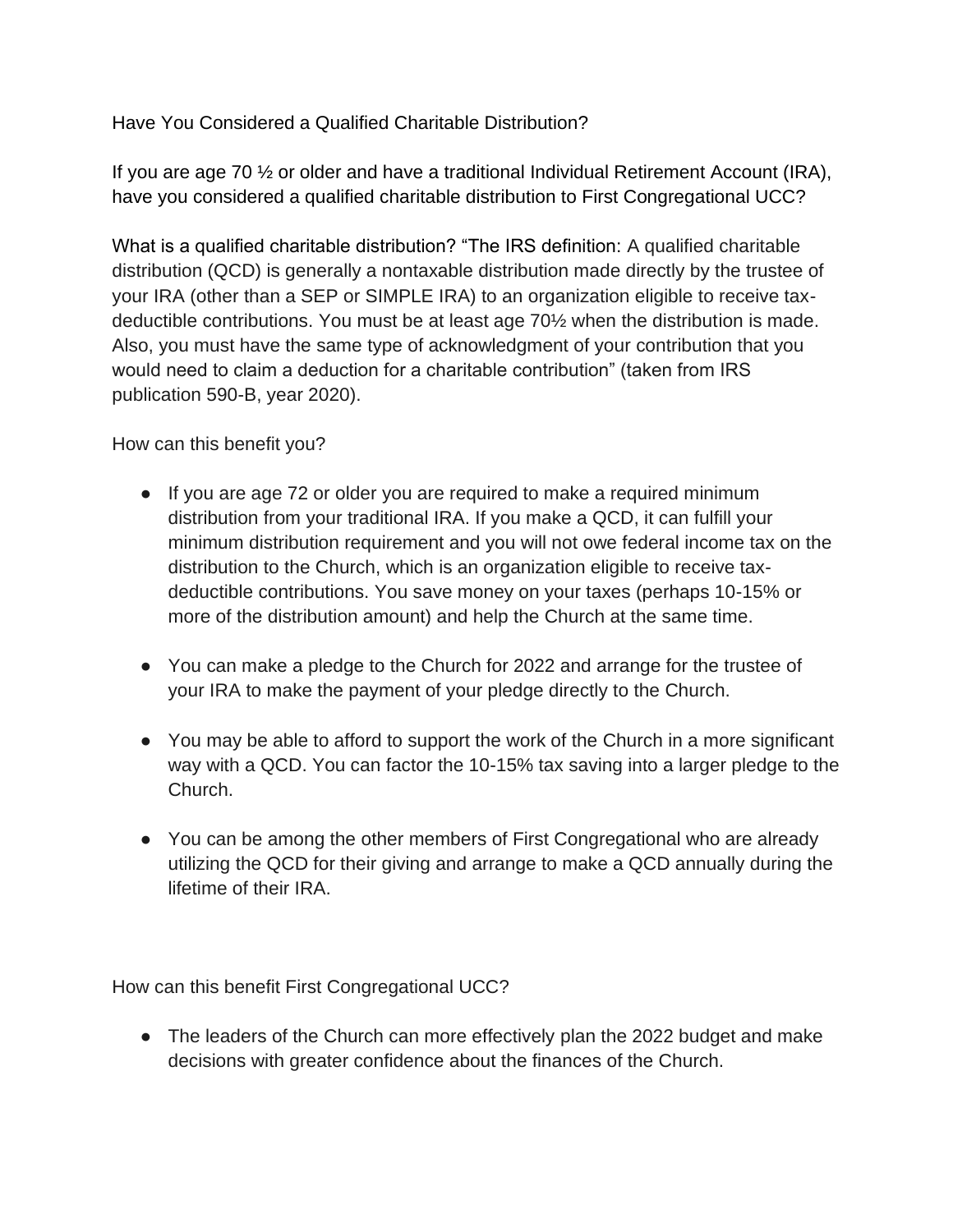Have You Considered a Qualified Charitable Distribution?

If you are age 70 ½ or older and have a traditional Individual Retirement Account (IRA), have you considered a qualified charitable distribution to First Congregational UCC?

What is a qualified charitable distribution? "The IRS definition: A qualified charitable distribution (QCD) is generally a nontaxable distribution made directly by the trustee of your IRA (other than a SEP or SIMPLE IRA) to an organization eligible to receive taxdeductible contributions. You must be at least age 70½ when the distribution is made. Also, you must have the same type of acknowledgment of your contribution that you would need to claim a deduction for a charitable contribution" (taken from IRS publication 590-B, year 2020).

How can this benefit you?

- If you are age 72 or older you are required to make a required minimum distribution from your traditional IRA. If you make a QCD, it can fulfill your minimum distribution requirement and you will not owe federal income tax on the distribution to the Church, which is an organization eligible to receive taxdeductible contributions. You save money on your taxes (perhaps 10-15% or more of the distribution amount) and help the Church at the same time.
- You can make a pledge to the Church for 2022 and arrange for the trustee of your IRA to make the payment of your pledge directly to the Church.
- You may be able to afford to support the work of the Church in a more significant way with a QCD. You can factor the 10-15% tax saving into a larger pledge to the Church.
- You can be among the other members of First Congregational who are already utilizing the QCD for their giving and arrange to make a QCD annually during the lifetime of their IRA.

How can this benefit First Congregational UCC?

• The leaders of the Church can more effectively plan the 2022 budget and make decisions with greater confidence about the finances of the Church.